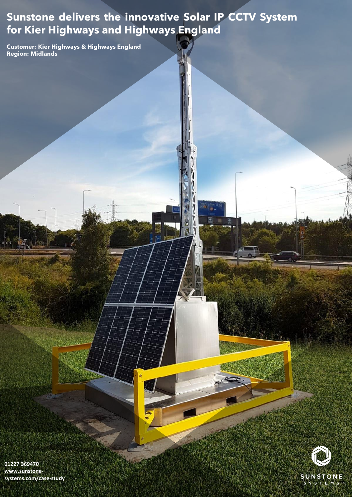# **Sunstone delivers the innovative Solar IP CCTV System for Kier Highways and Highways England**

川道 →

₩

**Customer: Kier Highways & Highways England Region: Midlands** 



Added

**01227 369470 www.sunstone[systems.com/case-study](http://www.sunstone-systems.com/case-study)**

**REPLIED N**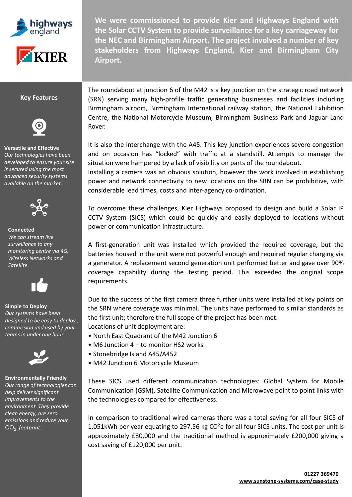



**We were commissioned to provide Kier and Highways England with the Solar CCTV System to provide surveillance for a key carriageway for the NEC and Birmingham Airport. The project involved a number of key stakeholders from Highways England, Kier and Birmingham City Airport.**

### **Key Features**



## **Versatile and Effective** *Our technologies have been*

*developed to ensure your site is secured using the most advanced security systems available on the market.* 



#### **Connected** *We can stream live surveillance to any monitoring centre via 4G, Wireless Networks and Satellite.*



# **Simple to Deploy**

*Our systems have been designed to be easy to deploy , commission and used by your teams in under one hour.* 



#### **Environmentally Friendly** *Our range of technologies can help deliver significant improvements to the environment. They provide clean energy, are zero*

*emissions and reduce your*  CO<sub>2</sub> footprint.

The roundabout at junction 6 of the M42 is a key junction on the strategic road network (SRN) serving many high-profile traffic generating businesses and facilities including Birmingham airport, Birmingham International railway station, the National Exhibition Centre, the National Motorcycle Museum, Birmingham Business Park and Jaguar Land Rover.

It is also the interchange with the A45. This key junction experiences severe congestion and on occasion has "locked" with traffic at a standstill. Attempts to manage the situation were hampered by a lack of visibility on parts of the roundabout.

Installing a camera was an obvious solution, however the work involved in establishing power and network connectivity to new locations on the SRN can be prohibitive, with considerable lead times, costs and inter-agency co-ordination.

To overcome these challenges, Kier Highways proposed to design and build a Solar IP CCTV System (SICS) which could be quickly and easily deployed to locations without power or communication infrastructure.

A first-generation unit was installed which provided the required coverage, but the batteries housed in the unit were not powerful enough and required regular charging via a generator. A replacement second generation unit performed better and gave over 90% coverage capability during the testing period. This exceeded the original scope requirements.

Due to the success of the first camera three further units were installed at key points on the SRN where coverage was minimal. The units have performed to similar standards as the first unit; therefore the full scope of the project has been met.

Locations of unit deployment are:

- North East Quadrant of the M42 Junction 6
- M6 Junction 4 to monitor HS2 works
- Stonebridge Island A45/A452
- M42 Junction 6 Motorcycle Museum

These SICS used different communication technologies: Global System for Mobile Communication (GSM), Satellite Communication and Microwave point to point links with the technologies compared for effectiveness.

In comparison to traditional wired cameras there was a total saving for all four SICS of 1,051kWh per year equating to 297.56 kg  $CO<sup>2</sup>$ e for all four SICS units. The cost per unit is approximately £80,000 and the traditional method is approximately £200,000 giving a cost saving of £120,000 per unit.